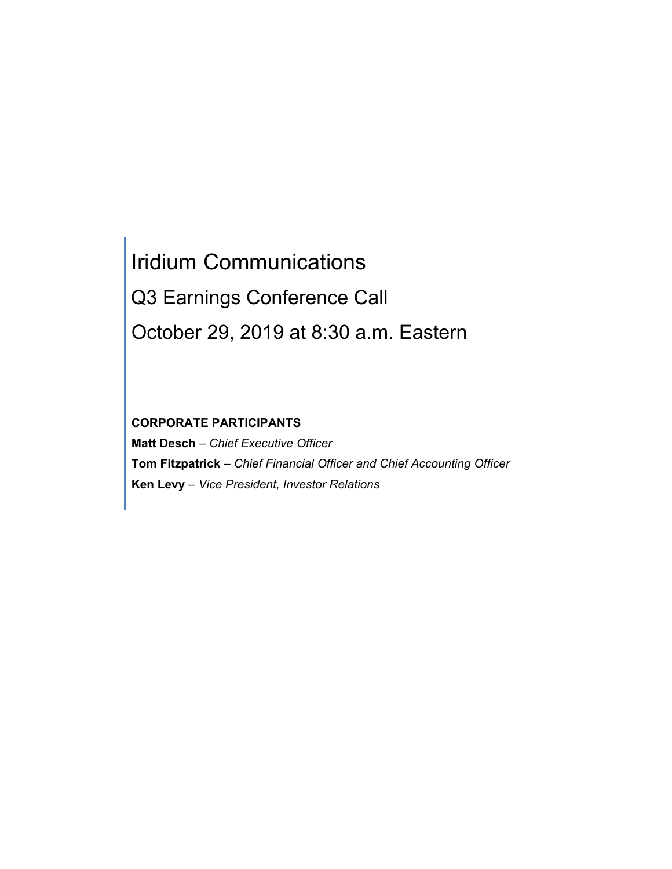# Iridium Communications Q3 Earnings Conference Call October 29, 2019 at 8:30 a.m. Eastern

# **CORPORATE PARTICIPANTS**

**Matt Desch** *– Chief Executive Officer* **Tom Fitzpatrick** *– Chief Financial Officer and Chief Accounting Officer* **Ken Levy** *– Vice President, Investor Relations*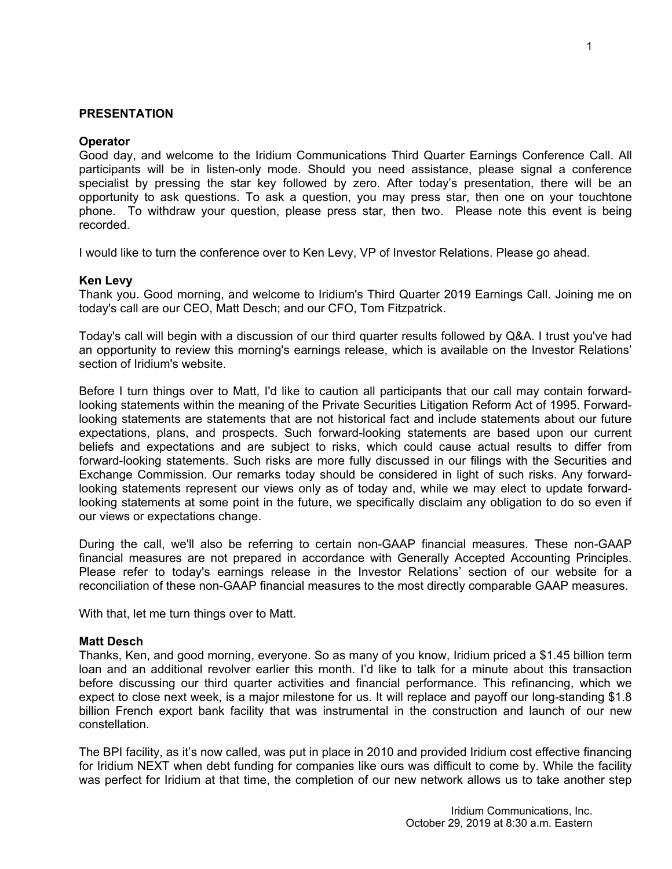# **PRESENTATION**

## **Operator**

Good day, and welcome to the Iridium Communications Third Quarter Earnings Conference Call. All participants will be in listen-only mode. Should you need assistance, please signal a conference specialist by pressing the star key followed by zero. After today's presentation, there will be an opportunity to ask questions. To ask a question, you may press star, then one on your touchtone phone. To withdraw your question, please press star, then two. Please note this event is being recorded.

I would like to turn the conference over to Ken Levy, VP of Investor Relations. Please go ahead.

## **Ken Levy**

Thank you. Good morning, and welcome to Iridium's Third Quarter 2019 Earnings Call. Joining me on today's call are our CEO, Matt Desch; and our CFO, Tom Fitzpatrick.

Today's call will begin with a discussion of our third quarter results followed by Q&A. I trust you've had an opportunity to review this morning's earnings release, which is available on the Investor Relations' section of Iridium's website.

Before I turn things over to Matt, I'd like to caution all participants that our call may contain forwardlooking statements within the meaning of the Private Securities Litigation Reform Act of 1995. Forwardlooking statements are statements that are not historical fact and include statements about our future expectations, plans, and prospects. Such forward-looking statements are based upon our current beliefs and expectations and are subject to risks, which could cause actual results to differ from forward-looking statements. Such risks are more fully discussed in our filings with the Securities and Exchange Commission. Our remarks today should be considered in light of such risks. Any forwardlooking statements represent our views only as of today and, while we may elect to update forwardlooking statements at some point in the future, we specifically disclaim any obligation to do so even if our views or expectations change.

During the call, we'll also be referring to certain non-GAAP financial measures. These non-GAAP financial measures are not prepared in accordance with Generally Accepted Accounting Principles. Please refer to today's earnings release in the Investor Relations' section of our website for a reconciliation of these non-GAAP financial measures to the most directly comparable GAAP measures.

With that, let me turn things over to Matt.

#### **Matt Desch**

Thanks, Ken, and good morning, everyone. So as many of you know, Iridium priced a \$1.45 billion term loan and an additional revolver earlier this month. I'd like to talk for a minute about this transaction before discussing our third quarter activities and financial performance. This refinancing, which we expect to close next week, is a major milestone for us. It will replace and payoff our long-standing \$1.8 billion French export bank facility that was instrumental in the construction and launch of our new constellation.

The BPI facility, as it's now called, was put in place in 2010 and provided Iridium cost effective financing for Iridium NEXT when debt funding for companies like ours was difficult to come by. While the facility was perfect for Iridium at that time, the completion of our new network allows us to take another step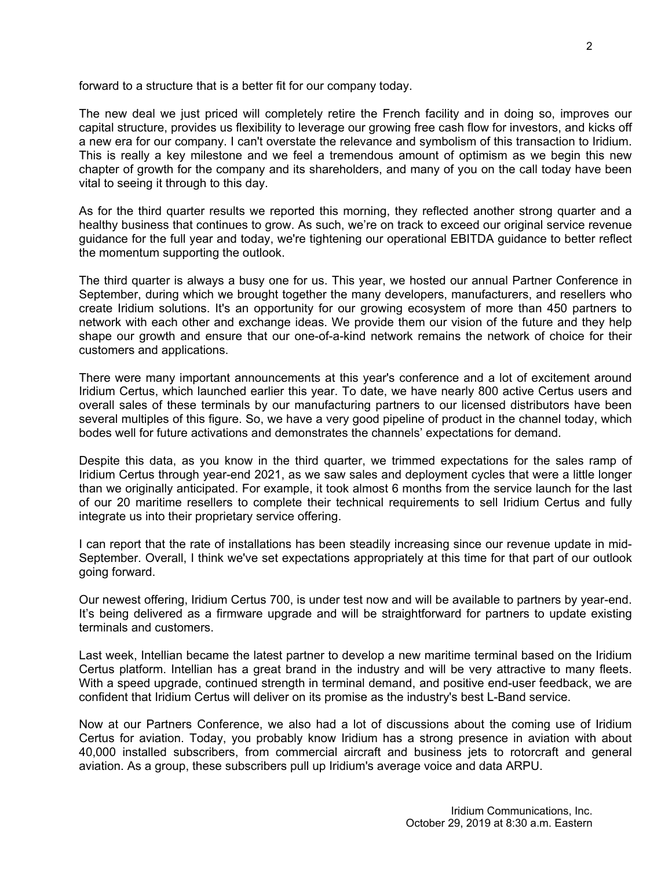forward to a structure that is a better fit for our company today.

The new deal we just priced will completely retire the French facility and in doing so, improves our capital structure, provides us flexibility to leverage our growing free cash flow for investors, and kicks off a new era for our company. I can't overstate the relevance and symbolism of this transaction to Iridium. This is really a key milestone and we feel a tremendous amount of optimism as we begin this new chapter of growth for the company and its shareholders, and many of you on the call today have been vital to seeing it through to this day.

As for the third quarter results we reported this morning, they reflected another strong quarter and a healthy business that continues to grow. As such, we're on track to exceed our original service revenue guidance for the full year and today, we're tightening our operational EBITDA guidance to better reflect the momentum supporting the outlook.

The third quarter is always a busy one for us. This year, we hosted our annual Partner Conference in September, during which we brought together the many developers, manufacturers, and resellers who create Iridium solutions. It's an opportunity for our growing ecosystem of more than 450 partners to network with each other and exchange ideas. We provide them our vision of the future and they help shape our growth and ensure that our one-of-a-kind network remains the network of choice for their customers and applications.

There were many important announcements at this year's conference and a lot of excitement around Iridium Certus, which launched earlier this year. To date, we have nearly 800 active Certus users and overall sales of these terminals by our manufacturing partners to our licensed distributors have been several multiples of this figure. So, we have a very good pipeline of product in the channel today, which bodes well for future activations and demonstrates the channels' expectations for demand.

Despite this data, as you know in the third quarter, we trimmed expectations for the sales ramp of Iridium Certus through year-end 2021, as we saw sales and deployment cycles that were a little longer than we originally anticipated. For example, it took almost 6 months from the service launch for the last of our 20 maritime resellers to complete their technical requirements to sell Iridium Certus and fully integrate us into their proprietary service offering.

I can report that the rate of installations has been steadily increasing since our revenue update in mid-September. Overall, I think we've set expectations appropriately at this time for that part of our outlook going forward.

Our newest offering, Iridium Certus 700, is under test now and will be available to partners by year-end. It's being delivered as a firmware upgrade and will be straightforward for partners to update existing terminals and customers.

Last week, Intellian became the latest partner to develop a new maritime terminal based on the Iridium Certus platform. Intellian has a great brand in the industry and will be very attractive to many fleets. With a speed upgrade, continued strength in terminal demand, and positive end-user feedback, we are confident that Iridium Certus will deliver on its promise as the industry's best L-Band service.

Now at our Partners Conference, we also had a lot of discussions about the coming use of Iridium Certus for aviation. Today, you probably know Iridium has a strong presence in aviation with about 40,000 installed subscribers, from commercial aircraft and business jets to rotorcraft and general aviation. As a group, these subscribers pull up Iridium's average voice and data ARPU.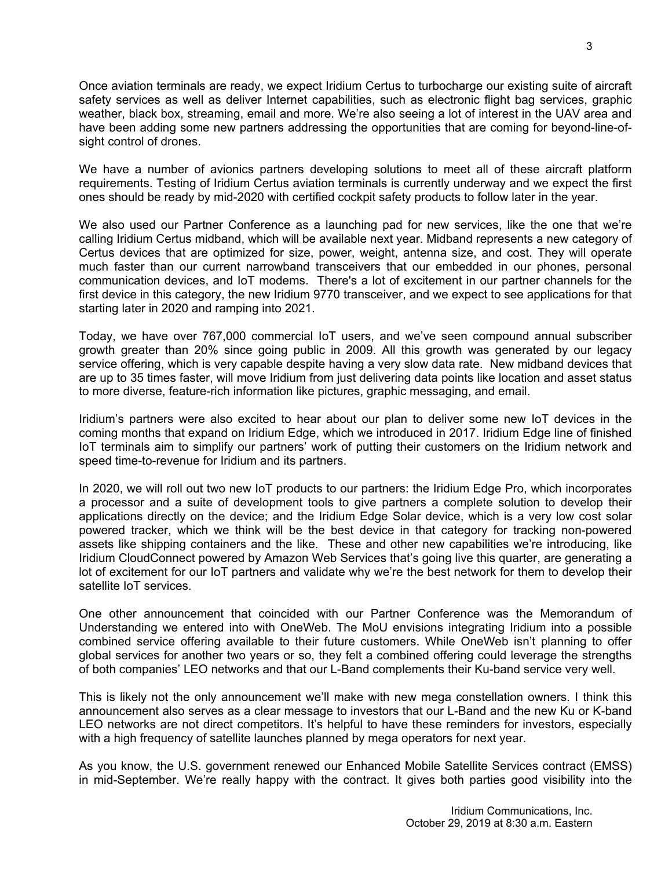Once aviation terminals are ready, we expect Iridium Certus to turbocharge our existing suite of aircraft safety services as well as deliver Internet capabilities, such as electronic flight bag services, graphic weather, black box, streaming, email and more. We're also seeing a lot of interest in the UAV area and have been adding some new partners addressing the opportunities that are coming for beyond-line-ofsight control of drones.

We have a number of avionics partners developing solutions to meet all of these aircraft platform requirements. Testing of Iridium Certus aviation terminals is currently underway and we expect the first ones should be ready by mid-2020 with certified cockpit safety products to follow later in the year.

We also used our Partner Conference as a launching pad for new services, like the one that we're calling Iridium Certus midband, which will be available next year. Midband represents a new category of Certus devices that are optimized for size, power, weight, antenna size, and cost. They will operate much faster than our current narrowband transceivers that our embedded in our phones, personal communication devices, and IoT modems. There's a lot of excitement in our partner channels for the first device in this category, the new Iridium 9770 transceiver, and we expect to see applications for that starting later in 2020 and ramping into 2021.

Today, we have over 767,000 commercial IoT users, and we've seen compound annual subscriber growth greater than 20% since going public in 2009. All this growth was generated by our legacy service offering, which is very capable despite having a very slow data rate. New midband devices that are up to 35 times faster, will move Iridium from just delivering data points like location and asset status to more diverse, feature-rich information like pictures, graphic messaging, and email.

Iridium's partners were also excited to hear about our plan to deliver some new IoT devices in the coming months that expand on Iridium Edge, which we introduced in 2017. Iridium Edge line of finished IoT terminals aim to simplify our partners' work of putting their customers on the Iridium network and speed time-to-revenue for Iridium and its partners.

In 2020, we will roll out two new IoT products to our partners: the Iridium Edge Pro, which incorporates a processor and a suite of development tools to give partners a complete solution to develop their applications directly on the device; and the Iridium Edge Solar device, which is a very low cost solar powered tracker, which we think will be the best device in that category for tracking non-powered assets like shipping containers and the like. These and other new capabilities we're introducing, like Iridium CloudConnect powered by Amazon Web Services that's going live this quarter, are generating a lot of excitement for our IoT partners and validate why we're the best network for them to develop their satellite IoT services.

One other announcement that coincided with our Partner Conference was the Memorandum of Understanding we entered into with OneWeb. The MoU envisions integrating Iridium into a possible combined service offering available to their future customers. While OneWeb isn't planning to offer global services for another two years or so, they felt a combined offering could leverage the strengths of both companies' LEO networks and that our L-Band complements their Ku-band service very well.

This is likely not the only announcement we'll make with new mega constellation owners. I think this announcement also serves as a clear message to investors that our L-Band and the new Ku or K-band LEO networks are not direct competitors. It's helpful to have these reminders for investors, especially with a high frequency of satellite launches planned by mega operators for next year.

As you know, the U.S. government renewed our Enhanced Mobile Satellite Services contract (EMSS) in mid-September. We're really happy with the contract. It gives both parties good visibility into the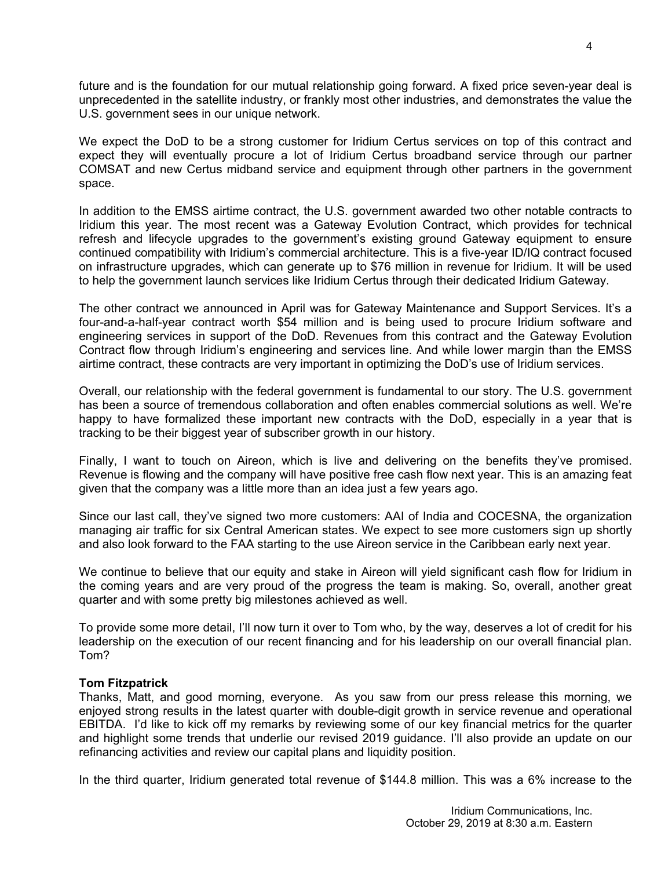future and is the foundation for our mutual relationship going forward. A fixed price seven-year deal is unprecedented in the satellite industry, or frankly most other industries, and demonstrates the value the U.S. government sees in our unique network.

We expect the DoD to be a strong customer for Iridium Certus services on top of this contract and expect they will eventually procure a lot of Iridium Certus broadband service through our partner COMSAT and new Certus midband service and equipment through other partners in the government space.

In addition to the EMSS airtime contract, the U.S. government awarded two other notable contracts to Iridium this year. The most recent was a Gateway Evolution Contract, which provides for technical refresh and lifecycle upgrades to the government's existing ground Gateway equipment to ensure continued compatibility with Iridium's commercial architecture. This is a five-year ID/IQ contract focused on infrastructure upgrades, which can generate up to \$76 million in revenue for Iridium. It will be used to help the government launch services like Iridium Certus through their dedicated Iridium Gateway.

The other contract we announced in April was for Gateway Maintenance and Support Services. It's a four-and-a-half-year contract worth \$54 million and is being used to procure Iridium software and engineering services in support of the DoD. Revenues from this contract and the Gateway Evolution Contract flow through Iridium's engineering and services line. And while lower margin than the EMSS airtime contract, these contracts are very important in optimizing the DoD's use of Iridium services.

Overall, our relationship with the federal government is fundamental to our story. The U.S. government has been a source of tremendous collaboration and often enables commercial solutions as well. We're happy to have formalized these important new contracts with the DoD, especially in a year that is tracking to be their biggest year of subscriber growth in our history.

Finally, I want to touch on Aireon, which is live and delivering on the benefits they've promised. Revenue is flowing and the company will have positive free cash flow next year. This is an amazing feat given that the company was a little more than an idea just a few years ago.

Since our last call, they've signed two more customers: AAI of India and COCESNA, the organization managing air traffic for six Central American states. We expect to see more customers sign up shortly and also look forward to the FAA starting to the use Aireon service in the Caribbean early next year.

We continue to believe that our equity and stake in Aireon will yield significant cash flow for Iridium in the coming years and are very proud of the progress the team is making. So, overall, another great quarter and with some pretty big milestones achieved as well.

To provide some more detail, I'll now turn it over to Tom who, by the way, deserves a lot of credit for his leadership on the execution of our recent financing and for his leadership on our overall financial plan. Tom?

# **Tom Fitzpatrick**

Thanks, Matt, and good morning, everyone. As you saw from our press release this morning, we enjoyed strong results in the latest quarter with double-digit growth in service revenue and operational EBITDA. I'd like to kick off my remarks by reviewing some of our key financial metrics for the quarter and highlight some trends that underlie our revised 2019 guidance. I'll also provide an update on our refinancing activities and review our capital plans and liquidity position.

In the third quarter, Iridium generated total revenue of \$144.8 million. This was a 6% increase to the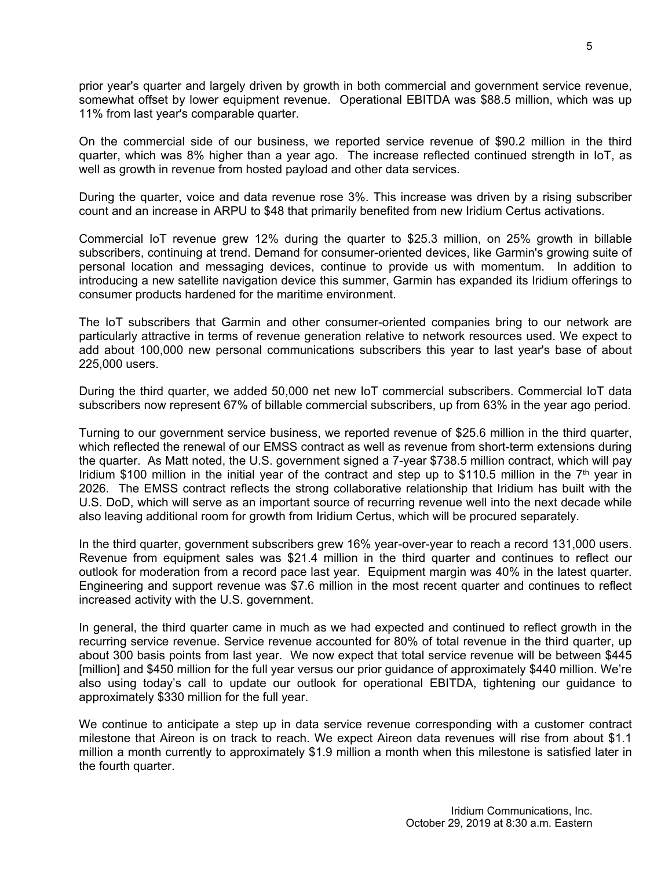prior year's quarter and largely driven by growth in both commercial and government service revenue, somewhat offset by lower equipment revenue. Operational EBITDA was \$88.5 million, which was up 11% from last year's comparable quarter.

On the commercial side of our business, we reported service revenue of \$90.2 million in the third quarter, which was 8% higher than a year ago. The increase reflected continued strength in IoT, as well as growth in revenue from hosted payload and other data services.

During the quarter, voice and data revenue rose 3%. This increase was driven by a rising subscriber count and an increase in ARPU to \$48 that primarily benefited from new Iridium Certus activations.

Commercial IoT revenue grew 12% during the quarter to \$25.3 million, on 25% growth in billable subscribers, continuing at trend. Demand for consumer-oriented devices, like Garmin's growing suite of personal location and messaging devices, continue to provide us with momentum. In addition to introducing a new satellite navigation device this summer, Garmin has expanded its Iridium offerings to consumer products hardened for the maritime environment.

The IoT subscribers that Garmin and other consumer-oriented companies bring to our network are particularly attractive in terms of revenue generation relative to network resources used. We expect to add about 100,000 new personal communications subscribers this year to last year's base of about 225,000 users.

During the third quarter, we added 50,000 net new IoT commercial subscribers. Commercial IoT data subscribers now represent 67% of billable commercial subscribers, up from 63% in the year ago period.

Turning to our government service business, we reported revenue of \$25.6 million in the third quarter, which reflected the renewal of our EMSS contract as well as revenue from short-term extensions during the quarter. As Matt noted, the U.S. government signed a 7-year \$738.5 million contract, which will pay Iridium \$100 million in the initial year of the contract and step up to \$110.5 million in the  $7<sup>th</sup>$  year in 2026. The EMSS contract reflects the strong collaborative relationship that Iridium has built with the U.S. DoD, which will serve as an important source of recurring revenue well into the next decade while also leaving additional room for growth from Iridium Certus, which will be procured separately.

In the third quarter, government subscribers grew 16% year-over-year to reach a record 131,000 users. Revenue from equipment sales was \$21.4 million in the third quarter and continues to reflect our outlook for moderation from a record pace last year. Equipment margin was 40% in the latest quarter. Engineering and support revenue was \$7.6 million in the most recent quarter and continues to reflect increased activity with the U.S. government.

In general, the third quarter came in much as we had expected and continued to reflect growth in the recurring service revenue. Service revenue accounted for 80% of total revenue in the third quarter, up about 300 basis points from last year. We now expect that total service revenue will be between \$445 [million] and \$450 million for the full year versus our prior guidance of approximately \$440 million. We're also using today's call to update our outlook for operational EBITDA, tightening our guidance to approximately \$330 million for the full year.

We continue to anticipate a step up in data service revenue corresponding with a customer contract milestone that Aireon is on track to reach. We expect Aireon data revenues will rise from about \$1.1 million a month currently to approximately \$1.9 million a month when this milestone is satisfied later in the fourth quarter.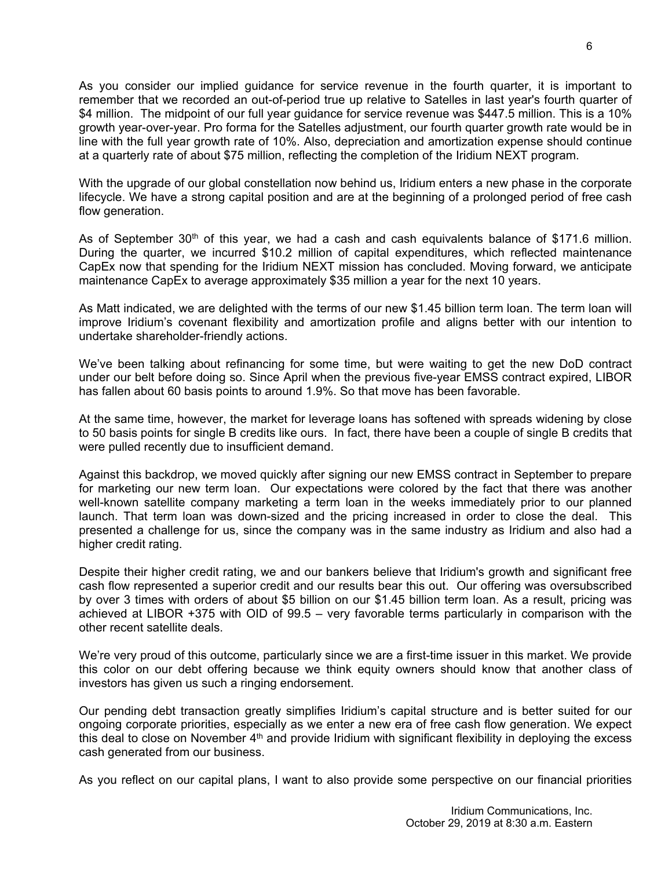As you consider our implied guidance for service revenue in the fourth quarter, it is important to remember that we recorded an out-of-period true up relative to Satelles in last year's fourth quarter of \$4 million. The midpoint of our full year guidance for service revenue was \$447.5 million. This is a 10% growth year-over-year. Pro forma for the Satelles adjustment, our fourth quarter growth rate would be in line with the full year growth rate of 10%. Also, depreciation and amortization expense should continue at a quarterly rate of about \$75 million, reflecting the completion of the Iridium NEXT program.

With the upgrade of our global constellation now behind us, Iridium enters a new phase in the corporate lifecycle. We have a strong capital position and are at the beginning of a prolonged period of free cash flow generation.

As of September  $30<sup>th</sup>$  of this year, we had a cash and cash equivalents balance of \$171.6 million. During the quarter, we incurred \$10.2 million of capital expenditures, which reflected maintenance CapEx now that spending for the Iridium NEXT mission has concluded. Moving forward, we anticipate maintenance CapEx to average approximately \$35 million a year for the next 10 years.

As Matt indicated, we are delighted with the terms of our new \$1.45 billion term loan. The term loan will improve Iridium's covenant flexibility and amortization profile and aligns better with our intention to undertake shareholder-friendly actions.

We've been talking about refinancing for some time, but were waiting to get the new DoD contract under our belt before doing so. Since April when the previous five-year EMSS contract expired, LIBOR has fallen about 60 basis points to around 1.9%. So that move has been favorable.

At the same time, however, the market for leverage loans has softened with spreads widening by close to 50 basis points for single B credits like ours. In fact, there have been a couple of single B credits that were pulled recently due to insufficient demand.

Against this backdrop, we moved quickly after signing our new EMSS contract in September to prepare for marketing our new term loan. Our expectations were colored by the fact that there was another well-known satellite company marketing a term loan in the weeks immediately prior to our planned launch. That term loan was down-sized and the pricing increased in order to close the deal. This presented a challenge for us, since the company was in the same industry as Iridium and also had a higher credit rating.

Despite their higher credit rating, we and our bankers believe that Iridium's growth and significant free cash flow represented a superior credit and our results bear this out. Our offering was oversubscribed by over 3 times with orders of about \$5 billion on our \$1.45 billion term loan. As a result, pricing was achieved at LIBOR +375 with OID of 99.5 – very favorable terms particularly in comparison with the other recent satellite deals.

We're very proud of this outcome, particularly since we are a first-time issuer in this market. We provide this color on our debt offering because we think equity owners should know that another class of investors has given us such a ringing endorsement.

Our pending debt transaction greatly simplifies Iridium's capital structure and is better suited for our ongoing corporate priorities, especially as we enter a new era of free cash flow generation. We expect this deal to close on November  $4<sup>th</sup>$  and provide Iridium with significant flexibility in deploying the excess cash generated from our business.

As you reflect on our capital plans, I want to also provide some perspective on our financial priorities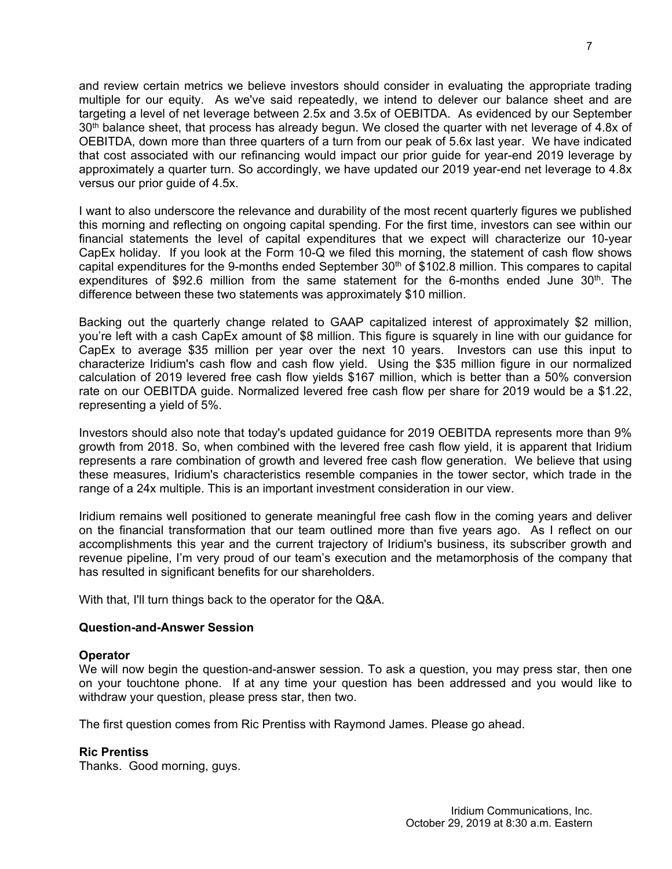and review certain metrics we believe investors should consider in evaluating the appropriate trading multiple for our equity. As we've said repeatedly, we intend to delever our balance sheet and are targeting a level of net leverage between 2.5x and 3.5x of OEBITDA. As evidenced by our September 30<sup>th</sup> balance sheet, that process has already begun. We closed the quarter with net leverage of 4.8x of OEBITDA, down more than three quarters of a turn from our peak of 5.6x last year. We have indicated that cost associated with our refinancing would impact our prior guide for year-end 2019 leverage by approximately a quarter turn. So accordingly, we have updated our 2019 year-end net leverage to 4.8x versus our prior guide of 4.5x.

I want to also underscore the relevance and durability of the most recent quarterly figures we published this morning and reflecting on ongoing capital spending. For the first time, investors can see within our financial statements the level of capital expenditures that we expect will characterize our 10-year CapEx holiday. If you look at the Form 10-Q we filed this morning, the statement of cash flow shows capital expenditures for the 9-months ended September 30<sup>th</sup> of \$102.8 million. This compares to capital expenditures of \$92.6 million from the same statement for the 6-months ended June  $30<sup>th</sup>$ . The difference between these two statements was approximately \$10 million.

Backing out the quarterly change related to GAAP capitalized interest of approximately \$2 million, you're left with a cash CapEx amount of \$8 million. This figure is squarely in line with our guidance for CapEx to average \$35 million per year over the next 10 years. Investors can use this input to characterize Iridium's cash flow and cash flow yield. Using the \$35 million figure in our normalized calculation of 2019 levered free cash flow yields \$167 million, which is better than a 50% conversion rate on our OEBITDA guide. Normalized levered free cash flow per share for 2019 would be a \$1.22, representing a yield of 5%.

Investors should also note that today's updated guidance for 2019 OEBITDA represents more than 9% growth from 2018. So, when combined with the levered free cash flow yield, it is apparent that Iridium represents a rare combination of growth and levered free cash flow generation. We believe that using these measures, Iridium's characteristics resemble companies in the tower sector, which trade in the range of a 24x multiple. This is an important investment consideration in our view.

Iridium remains well positioned to generate meaningful free cash flow in the coming years and deliver on the financial transformation that our team outlined more than five years ago. As I reflect on our accomplishments this year and the current trajectory of Iridium's business, its subscriber growth and revenue pipeline, I'm very proud of our team's execution and the metamorphosis of the company that has resulted in significant benefits for our shareholders.

With that, I'll turn things back to the operator for the Q&A.

# **Question-and-Answer Session**

# **Operator**

We will now begin the question-and-answer session. To ask a question, you may press star, then one on your touchtone phone. If at any time your question has been addressed and you would like to withdraw your question, please press star, then two.

The first question comes from Ric Prentiss with Raymond James. Please go ahead.

# **Ric Prentiss**

Thanks. Good morning, guys.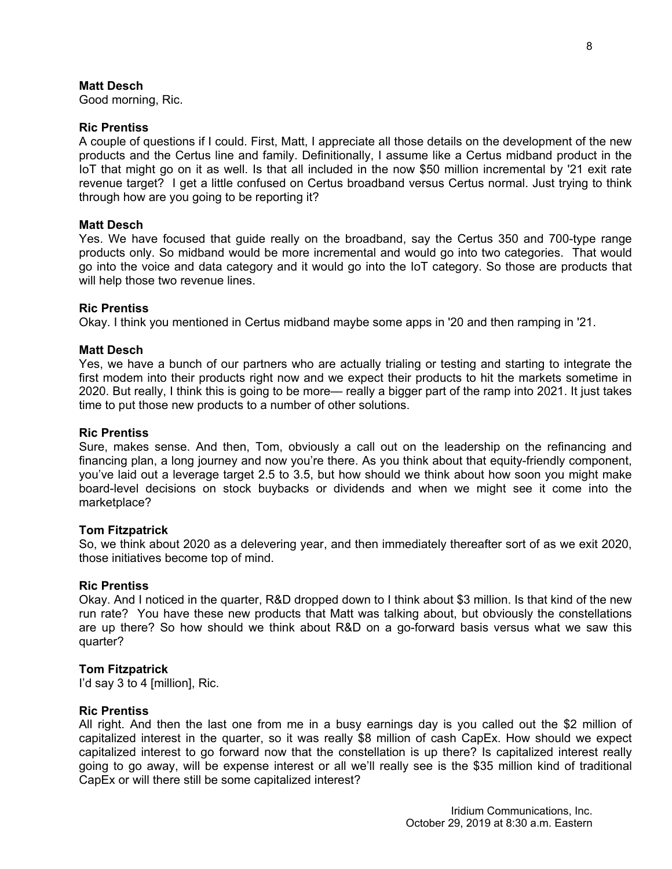# **Matt Desch**

Good morning, Ric.

## **Ric Prentiss**

A couple of questions if I could. First, Matt, I appreciate all those details on the development of the new products and the Certus line and family. Definitionally, I assume like a Certus midband product in the IoT that might go on it as well. Is that all included in the now \$50 million incremental by '21 exit rate revenue target? I get a little confused on Certus broadband versus Certus normal. Just trying to think through how are you going to be reporting it?

#### **Matt Desch**

Yes. We have focused that guide really on the broadband, say the Certus 350 and 700-type range products only. So midband would be more incremental and would go into two categories. That would go into the voice and data category and it would go into the IoT category. So those are products that will help those two revenue lines.

## **Ric Prentiss**

Okay. I think you mentioned in Certus midband maybe some apps in '20 and then ramping in '21.

## **Matt Desch**

Yes, we have a bunch of our partners who are actually trialing or testing and starting to integrate the first modem into their products right now and we expect their products to hit the markets sometime in 2020. But really, I think this is going to be more— really a bigger part of the ramp into 2021. It just takes time to put those new products to a number of other solutions.

#### **Ric Prentiss**

Sure, makes sense. And then, Tom, obviously a call out on the leadership on the refinancing and financing plan, a long journey and now you're there. As you think about that equity-friendly component, you've laid out a leverage target 2.5 to 3.5, but how should we think about how soon you might make board-level decisions on stock buybacks or dividends and when we might see it come into the marketplace?

#### **Tom Fitzpatrick**

So, we think about 2020 as a delevering year, and then immediately thereafter sort of as we exit 2020, those initiatives become top of mind.

## **Ric Prentiss**

Okay. And I noticed in the quarter, R&D dropped down to I think about \$3 million. Is that kind of the new run rate? You have these new products that Matt was talking about, but obviously the constellations are up there? So how should we think about R&D on a go-forward basis versus what we saw this quarter?

#### **Tom Fitzpatrick**

I'd say 3 to 4 [million], Ric.

#### **Ric Prentiss**

All right. And then the last one from me in a busy earnings day is you called out the \$2 million of capitalized interest in the quarter, so it was really \$8 million of cash CapEx. How should we expect capitalized interest to go forward now that the constellation is up there? Is capitalized interest really going to go away, will be expense interest or all we'll really see is the \$35 million kind of traditional CapEx or will there still be some capitalized interest?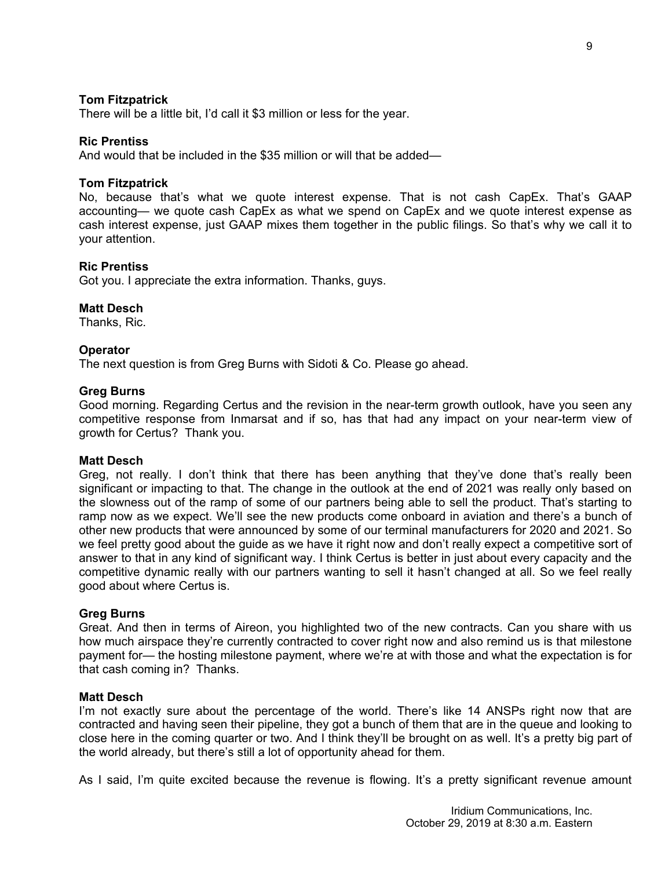# **Tom Fitzpatrick**

There will be a little bit, I'd call it \$3 million or less for the year.

## **Ric Prentiss**

And would that be included in the \$35 million or will that be added—

## **Tom Fitzpatrick**

No, because that's what we quote interest expense. That is not cash CapEx. That's GAAP accounting— we quote cash CapEx as what we spend on CapEx and we quote interest expense as cash interest expense, just GAAP mixes them together in the public filings. So that's why we call it to your attention.

## **Ric Prentiss**

Got you. I appreciate the extra information. Thanks, guys.

# **Matt Desch**

Thanks, Ric.

## **Operator**

The next question is from Greg Burns with Sidoti & Co. Please go ahead.

## **Greg Burns**

Good morning. Regarding Certus and the revision in the near-term growth outlook, have you seen any competitive response from Inmarsat and if so, has that had any impact on your near-term view of growth for Certus? Thank you.

#### **Matt Desch**

Greg, not really. I don't think that there has been anything that they've done that's really been significant or impacting to that. The change in the outlook at the end of 2021 was really only based on the slowness out of the ramp of some of our partners being able to sell the product. That's starting to ramp now as we expect. We'll see the new products come onboard in aviation and there's a bunch of other new products that were announced by some of our terminal manufacturers for 2020 and 2021. So we feel pretty good about the guide as we have it right now and don't really expect a competitive sort of answer to that in any kind of significant way. I think Certus is better in just about every capacity and the competitive dynamic really with our partners wanting to sell it hasn't changed at all. So we feel really good about where Certus is.

#### **Greg Burns**

Great. And then in terms of Aireon, you highlighted two of the new contracts. Can you share with us how much airspace they're currently contracted to cover right now and also remind us is that milestone payment for— the hosting milestone payment, where we're at with those and what the expectation is for that cash coming in? Thanks.

## **Matt Desch**

I'm not exactly sure about the percentage of the world. There's like 14 ANSPs right now that are contracted and having seen their pipeline, they got a bunch of them that are in the queue and looking to close here in the coming quarter or two. And I think they'll be brought on as well. It's a pretty big part of the world already, but there's still a lot of opportunity ahead for them.

As I said, I'm quite excited because the revenue is flowing. It's a pretty significant revenue amount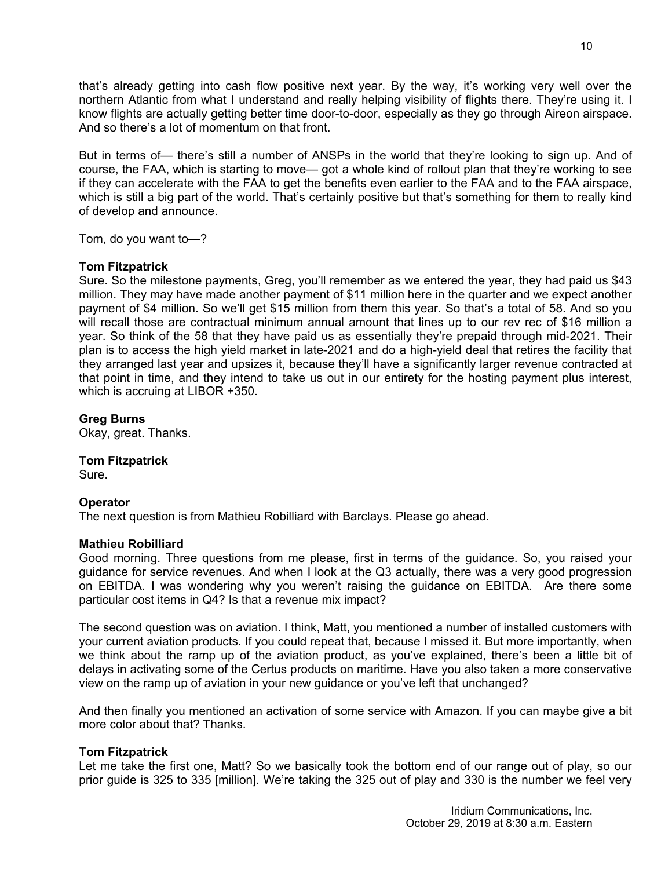that's already getting into cash flow positive next year. By the way, it's working very well over the northern Atlantic from what I understand and really helping visibility of flights there. They're using it. I know flights are actually getting better time door-to-door, especially as they go through Aireon airspace. And so there's a lot of momentum on that front.

But in terms of— there's still a number of ANSPs in the world that they're looking to sign up. And of course, the FAA, which is starting to move— got a whole kind of rollout plan that they're working to see if they can accelerate with the FAA to get the benefits even earlier to the FAA and to the FAA airspace, which is still a big part of the world. That's certainly positive but that's something for them to really kind of develop and announce.

Tom, do you want to—?

# **Tom Fitzpatrick**

Sure. So the milestone payments, Greg, you'll remember as we entered the year, they had paid us \$43 million. They may have made another payment of \$11 million here in the quarter and we expect another payment of \$4 million. So we'll get \$15 million from them this year. So that's a total of 58. And so you will recall those are contractual minimum annual amount that lines up to our rev rec of \$16 million a year. So think of the 58 that they have paid us as essentially they're prepaid through mid-2021. Their plan is to access the high yield market in late-2021 and do a high-yield deal that retires the facility that they arranged last year and upsizes it, because they'll have a significantly larger revenue contracted at that point in time, and they intend to take us out in our entirety for the hosting payment plus interest, which is accruing at LIBOR +350.

**Greg Burns**

Okay, great. Thanks.

**Tom Fitzpatrick**

Sure.

# **Operator**

The next question is from Mathieu Robilliard with Barclays. Please go ahead.

# **Mathieu Robilliard**

Good morning. Three questions from me please, first in terms of the guidance. So, you raised your guidance for service revenues. And when I look at the Q3 actually, there was a very good progression on EBITDA. I was wondering why you weren't raising the guidance on EBITDA. Are there some particular cost items in Q4? Is that a revenue mix impact?

The second question was on aviation. I think, Matt, you mentioned a number of installed customers with your current aviation products. If you could repeat that, because I missed it. But more importantly, when we think about the ramp up of the aviation product, as you've explained, there's been a little bit of delays in activating some of the Certus products on maritime. Have you also taken a more conservative view on the ramp up of aviation in your new guidance or you've left that unchanged?

And then finally you mentioned an activation of some service with Amazon. If you can maybe give a bit more color about that? Thanks.

# **Tom Fitzpatrick**

Let me take the first one, Matt? So we basically took the bottom end of our range out of play, so our prior guide is 325 to 335 [million]. We're taking the 325 out of play and 330 is the number we feel very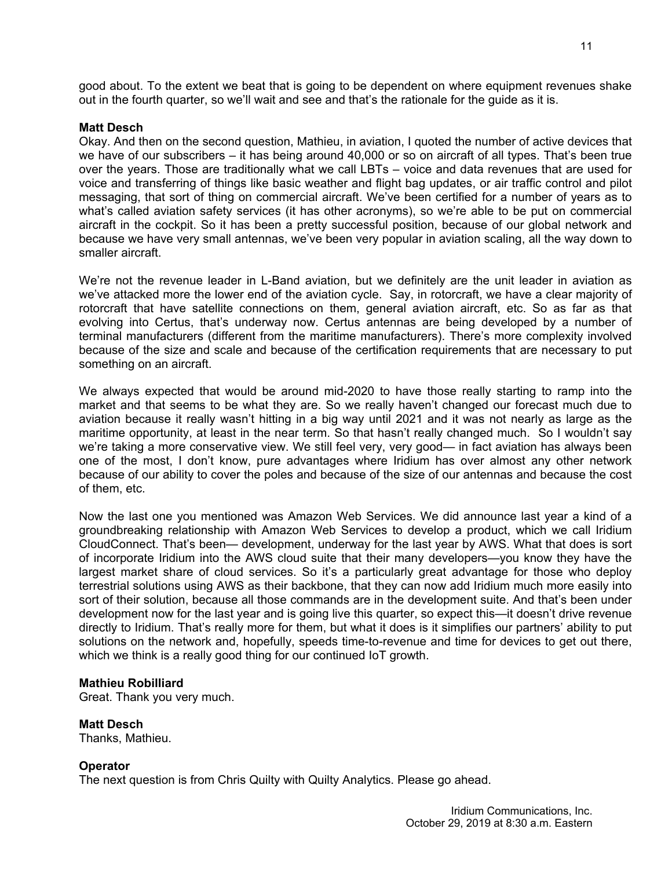good about. To the extent we beat that is going to be dependent on where equipment revenues shake out in the fourth quarter, so we'll wait and see and that's the rationale for the guide as it is.

## **Matt Desch**

Okay. And then on the second question, Mathieu, in aviation, I quoted the number of active devices that we have of our subscribers – it has being around 40,000 or so on aircraft of all types. That's been true over the years. Those are traditionally what we call LBTs – voice and data revenues that are used for voice and transferring of things like basic weather and flight bag updates, or air traffic control and pilot messaging, that sort of thing on commercial aircraft. We've been certified for a number of years as to what's called aviation safety services (it has other acronyms), so we're able to be put on commercial aircraft in the cockpit. So it has been a pretty successful position, because of our global network and because we have very small antennas, we've been very popular in aviation scaling, all the way down to smaller aircraft.

We're not the revenue leader in L-Band aviation, but we definitely are the unit leader in aviation as we've attacked more the lower end of the aviation cycle. Say, in rotorcraft, we have a clear majority of rotorcraft that have satellite connections on them, general aviation aircraft, etc. So as far as that evolving into Certus, that's underway now. Certus antennas are being developed by a number of terminal manufacturers (different from the maritime manufacturers). There's more complexity involved because of the size and scale and because of the certification requirements that are necessary to put something on an aircraft.

We always expected that would be around mid-2020 to have those really starting to ramp into the market and that seems to be what they are. So we really haven't changed our forecast much due to aviation because it really wasn't hitting in a big way until 2021 and it was not nearly as large as the maritime opportunity, at least in the near term. So that hasn't really changed much. So I wouldn't say we're taking a more conservative view. We still feel very, very good— in fact aviation has always been one of the most, I don't know, pure advantages where Iridium has over almost any other network because of our ability to cover the poles and because of the size of our antennas and because the cost of them, etc.

Now the last one you mentioned was Amazon Web Services. We did announce last year a kind of a groundbreaking relationship with Amazon Web Services to develop a product, which we call Iridium CloudConnect. That's been— development, underway for the last year by AWS. What that does is sort of incorporate Iridium into the AWS cloud suite that their many developers—you know they have the largest market share of cloud services. So it's a particularly great advantage for those who deploy terrestrial solutions using AWS as their backbone, that they can now add Iridium much more easily into sort of their solution, because all those commands are in the development suite. And that's been under development now for the last year and is going live this quarter, so expect this—it doesn't drive revenue directly to Iridium. That's really more for them, but what it does is it simplifies our partners' ability to put solutions on the network and, hopefully, speeds time-to-revenue and time for devices to get out there, which we think is a really good thing for our continued IoT growth.

# **Mathieu Robilliard**

Great. Thank you very much.

# **Matt Desch**

Thanks, Mathieu.

# **Operator**

The next question is from Chris Quilty with Quilty Analytics. Please go ahead.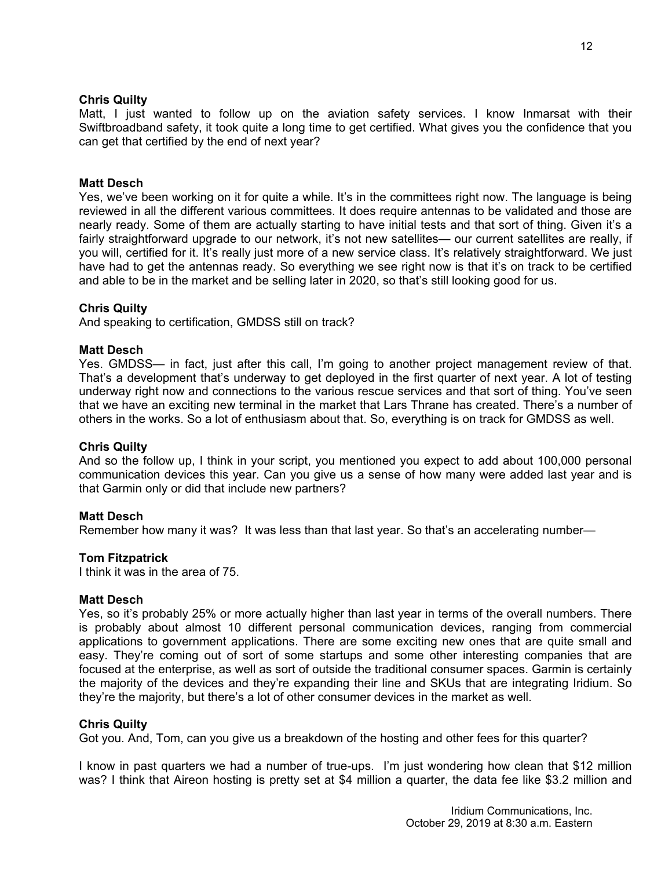# **Chris Quilty**

Matt, I just wanted to follow up on the aviation safety services. I know Inmarsat with their Swiftbroadband safety, it took quite a long time to get certified. What gives you the confidence that you can get that certified by the end of next year?

## **Matt Desch**

Yes, we've been working on it for quite a while. It's in the committees right now. The language is being reviewed in all the different various committees. It does require antennas to be validated and those are nearly ready. Some of them are actually starting to have initial tests and that sort of thing. Given it's a fairly straightforward upgrade to our network, it's not new satellites— our current satellites are really, if you will, certified for it. It's really just more of a new service class. It's relatively straightforward. We just have had to get the antennas ready. So everything we see right now is that it's on track to be certified and able to be in the market and be selling later in 2020, so that's still looking good for us.

# **Chris Quilty**

And speaking to certification, GMDSS still on track?

## **Matt Desch**

Yes. GMDSS— in fact, just after this call, I'm going to another project management review of that. That's a development that's underway to get deployed in the first quarter of next year. A lot of testing underway right now and connections to the various rescue services and that sort of thing. You've seen that we have an exciting new terminal in the market that Lars Thrane has created. There's a number of others in the works. So a lot of enthusiasm about that. So, everything is on track for GMDSS as well.

#### **Chris Quilty**

And so the follow up, I think in your script, you mentioned you expect to add about 100,000 personal communication devices this year. Can you give us a sense of how many were added last year and is that Garmin only or did that include new partners?

#### **Matt Desch**

Remember how many it was? It was less than that last year. So that's an accelerating number—

#### **Tom Fitzpatrick**

I think it was in the area of 75.

#### **Matt Desch**

Yes, so it's probably 25% or more actually higher than last year in terms of the overall numbers. There is probably about almost 10 different personal communication devices, ranging from commercial applications to government applications. There are some exciting new ones that are quite small and easy. They're coming out of sort of some startups and some other interesting companies that are focused at the enterprise, as well as sort of outside the traditional consumer spaces. Garmin is certainly the majority of the devices and they're expanding their line and SKUs that are integrating Iridium. So they're the majority, but there's a lot of other consumer devices in the market as well.

## **Chris Quilty**

Got you. And, Tom, can you give us a breakdown of the hosting and other fees for this quarter?

I know in past quarters we had a number of true-ups. I'm just wondering how clean that \$12 million was? I think that Aireon hosting is pretty set at \$4 million a quarter, the data fee like \$3.2 million and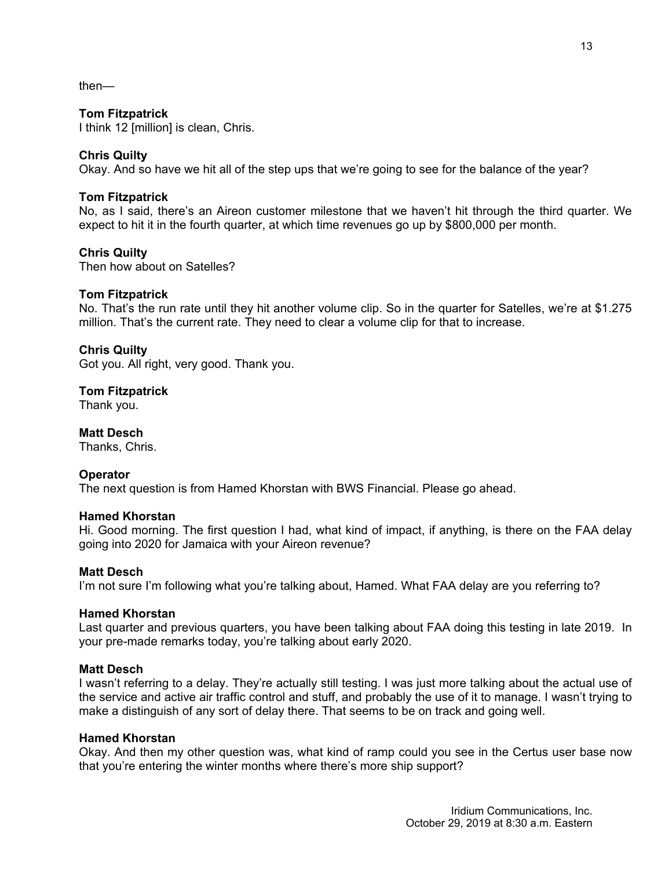then—

# **Tom Fitzpatrick**

I think 12 [million] is clean, Chris.

# **Chris Quilty**

Okay. And so have we hit all of the step ups that we're going to see for the balance of the year?

# **Tom Fitzpatrick**

No, as I said, there's an Aireon customer milestone that we haven't hit through the third quarter. We expect to hit it in the fourth quarter, at which time revenues go up by \$800,000 per month.

# **Chris Quilty**

Then how about on Satelles?

# **Tom Fitzpatrick**

No. That's the run rate until they hit another volume clip. So in the quarter for Satelles, we're at \$1.275 million. That's the current rate. They need to clear a volume clip for that to increase.

# **Chris Quilty**

Got you. All right, very good. Thank you.

**Tom Fitzpatrick**

Thank you.

**Matt Desch** Thanks, Chris.

# **Operator**

The next question is from Hamed Khorstan with BWS Financial. Please go ahead.

# **Hamed Khorstan**

Hi. Good morning. The first question I had, what kind of impact, if anything, is there on the FAA delay going into 2020 for Jamaica with your Aireon revenue?

# **Matt Desch**

I'm not sure I'm following what you're talking about, Hamed. What FAA delay are you referring to?

#### **Hamed Khorstan**

Last quarter and previous quarters, you have been talking about FAA doing this testing in late 2019. In your pre-made remarks today, you're talking about early 2020.

# **Matt Desch**

I wasn't referring to a delay. They're actually still testing. I was just more talking about the actual use of the service and active air traffic control and stuff, and probably the use of it to manage. I wasn't trying to make a distinguish of any sort of delay there. That seems to be on track and going well.

#### **Hamed Khorstan**

Okay. And then my other question was, what kind of ramp could you see in the Certus user base now that you're entering the winter months where there's more ship support?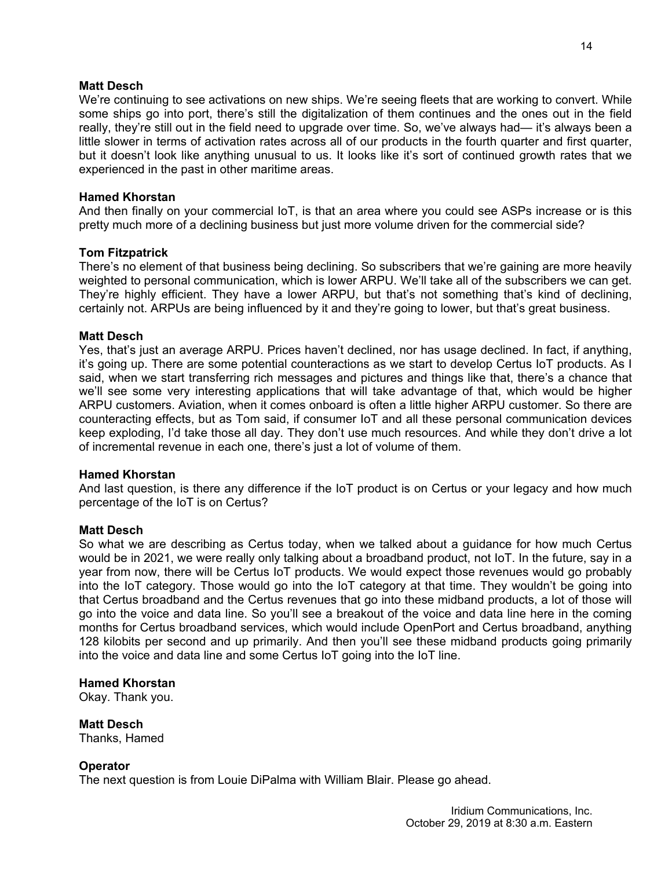# **Matt Desch**

We're continuing to see activations on new ships. We're seeing fleets that are working to convert. While some ships go into port, there's still the digitalization of them continues and the ones out in the field really, they're still out in the field need to upgrade over time. So, we've always had— it's always been a little slower in terms of activation rates across all of our products in the fourth quarter and first quarter, but it doesn't look like anything unusual to us. It looks like it's sort of continued growth rates that we experienced in the past in other maritime areas.

# **Hamed Khorstan**

And then finally on your commercial IoT, is that an area where you could see ASPs increase or is this pretty much more of a declining business but just more volume driven for the commercial side?

# **Tom Fitzpatrick**

There's no element of that business being declining. So subscribers that we're gaining are more heavily weighted to personal communication, which is lower ARPU. We'll take all of the subscribers we can get. They're highly efficient. They have a lower ARPU, but that's not something that's kind of declining, certainly not. ARPUs are being influenced by it and they're going to lower, but that's great business.

# **Matt Desch**

Yes, that's just an average ARPU. Prices haven't declined, nor has usage declined. In fact, if anything, it's going up. There are some potential counteractions as we start to develop Certus IoT products. As I said, when we start transferring rich messages and pictures and things like that, there's a chance that we'll see some very interesting applications that will take advantage of that, which would be higher ARPU customers. Aviation, when it comes onboard is often a little higher ARPU customer. So there are counteracting effects, but as Tom said, if consumer IoT and all these personal communication devices keep exploding, I'd take those all day. They don't use much resources. And while they don't drive a lot of incremental revenue in each one, there's just a lot of volume of them.

# **Hamed Khorstan**

And last question, is there any difference if the IoT product is on Certus or your legacy and how much percentage of the IoT is on Certus?

# **Matt Desch**

So what we are describing as Certus today, when we talked about a guidance for how much Certus would be in 2021, we were really only talking about a broadband product, not IoT. In the future, say in a year from now, there will be Certus IoT products. We would expect those revenues would go probably into the IoT category. Those would go into the IoT category at that time. They wouldn't be going into that Certus broadband and the Certus revenues that go into these midband products, a lot of those will go into the voice and data line. So you'll see a breakout of the voice and data line here in the coming months for Certus broadband services, which would include OpenPort and Certus broadband, anything 128 kilobits per second and up primarily. And then you'll see these midband products going primarily into the voice and data line and some Certus IoT going into the IoT line.

# **Hamed Khorstan**

Okay. Thank you.

**Matt Desch**

Thanks, Hamed

# **Operator**

The next question is from Louie DiPalma with William Blair. Please go ahead.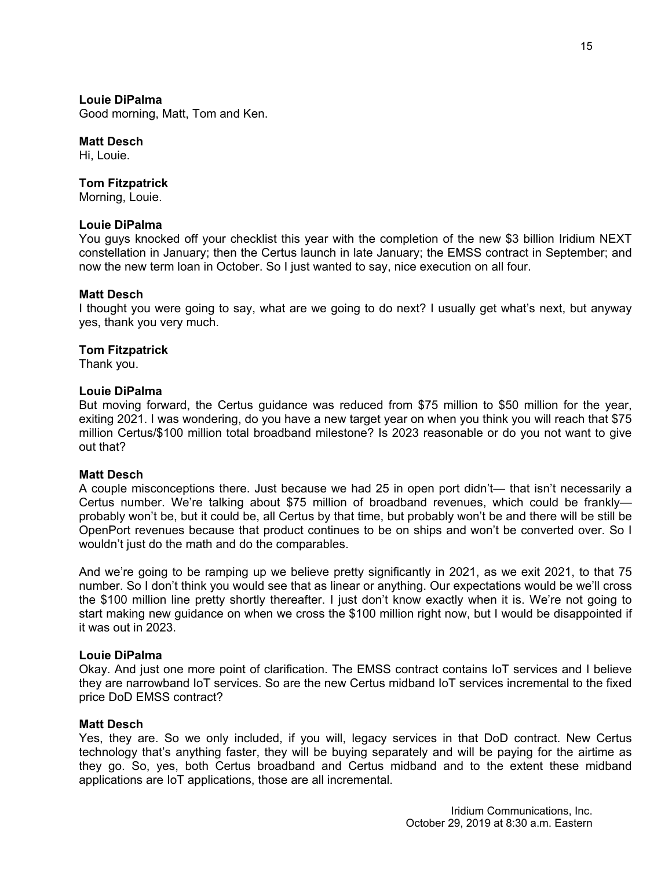## **Louie DiPalma**

Good morning, Matt, Tom and Ken.

#### **Matt Desch**

Hi, Louie.

# **Tom Fitzpatrick**

Morning, Louie.

## **Louie DiPalma**

You guys knocked off your checklist this year with the completion of the new \$3 billion Iridium NEXT constellation in January; then the Certus launch in late January; the EMSS contract in September; and now the new term loan in October. So I just wanted to say, nice execution on all four.

## **Matt Desch**

I thought you were going to say, what are we going to do next? I usually get what's next, but anyway yes, thank you very much.

## **Tom Fitzpatrick**

Thank you.

# **Louie DiPalma**

But moving forward, the Certus guidance was reduced from \$75 million to \$50 million for the year, exiting 2021. I was wondering, do you have a new target year on when you think you will reach that \$75 million Certus/\$100 million total broadband milestone? Is 2023 reasonable or do you not want to give out that?

## **Matt Desch**

A couple misconceptions there. Just because we had 25 in open port didn't— that isn't necessarily a Certus number. We're talking about \$75 million of broadband revenues, which could be frankly probably won't be, but it could be, all Certus by that time, but probably won't be and there will be still be OpenPort revenues because that product continues to be on ships and won't be converted over. So I wouldn't just do the math and do the comparables.

And we're going to be ramping up we believe pretty significantly in 2021, as we exit 2021, to that 75 number. So I don't think you would see that as linear or anything. Our expectations would be we'll cross the \$100 million line pretty shortly thereafter. I just don't know exactly when it is. We're not going to start making new guidance on when we cross the \$100 million right now, but I would be disappointed if it was out in 2023.

## **Louie DiPalma**

Okay. And just one more point of clarification. The EMSS contract contains IoT services and I believe they are narrowband IoT services. So are the new Certus midband IoT services incremental to the fixed price DoD EMSS contract?

## **Matt Desch**

Yes, they are. So we only included, if you will, legacy services in that DoD contract. New Certus technology that's anything faster, they will be buying separately and will be paying for the airtime as they go. So, yes, both Certus broadband and Certus midband and to the extent these midband applications are IoT applications, those are all incremental.